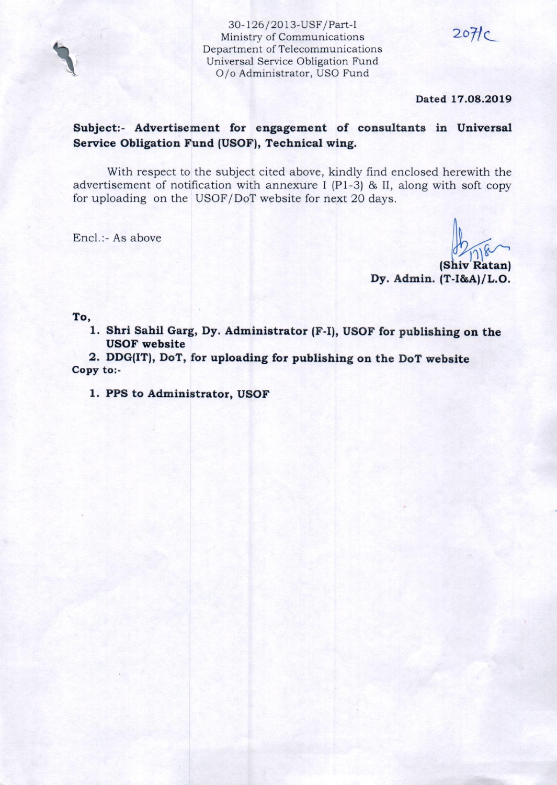30-126/2013-USF /Part-I Ministry of Communications Department of Telecommunications Universal Service Obligation Fund O/o Administrator, USO Fund

**Dated 17.08.2019** 

 $20$ Hc

## **Subject:- Advertisement for engagement of consultants in Universal Service Obligation Fund (USOF), Technical wing.**

With respect to the subject cited above, kindly find enclosed herewith the advertisement of notification with annexure I (Pl-3) & II, along with soft copy for uploading on the USOF/DoT website for next 20 days.

Encl.:- As above

 $(16)$  $R$ atan) **Dy. Admin. (T-I&A)/L.O.** 

**To,** 

**1. Shri Sahil Garg, Dy. Administrator (F-1), USOF for publishing on the USOF website** 

**2. DDG(IT), DoT, for uploading for publishing on the DoT website Copy to:-** 

**1. PPS to Administrator, USOF**